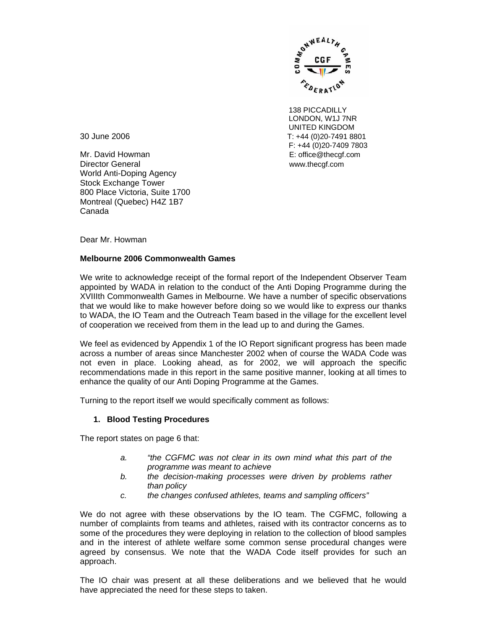

138 PICCADILLY LONDON, W1J 7NR UNITED KINGDOM 30 June 2006 T: +44 (0)20-7491 8801 F: +44 (0)20-7409 7803

Mr. David Howman E: office@thecgf.com Director General www.thecgf.com World Anti-Doping Agency Stock Exchange Tower 800 Place Victoria, Suite 1700 Montreal (Quebec) H4Z 1B7 Canada

Dear Mr. Howman

## **Melbourne 2006 Commonwealth Games**

We write to acknowledge receipt of the formal report of the Independent Observer Team appointed by WADA in relation to the conduct of the Anti Doping Programme during the XVIIIth Commonwealth Games in Melbourne. We have a number of specific observations that we would like to make however before doing so we would like to express our thanks to WADA, the IO Team and the Outreach Team based in the village for the excellent level of cooperation we received from them in the lead up to and during the Games.

We feel as evidenced by Appendix 1 of the IO Report significant progress has been made across a number of areas since Manchester 2002 when of course the WADA Code was not even in place. Looking ahead, as for 2002, we will approach the specific recommendations made in this report in the same positive manner, looking at all times to enhance the quality of our Anti Doping Programme at the Games.

Turning to the report itself we would specifically comment as follows:

# **1. Blood Testing Procedures**

The report states on page 6 that:

- *a. "the CGFMC was not clear in its own mind what this part of the programme was meant to achieve*
- *b. the decision-making processes were driven by problems rather than policy*
- *c. the changes confused athletes, teams and sampling officers"*

We do not agree with these observations by the IO team. The CGFMC, following a number of complaints from teams and athletes, raised with its contractor concerns as to some of the procedures they were deploying in relation to the collection of blood samples and in the interest of athlete welfare some common sense procedural changes were agreed by consensus. We note that the WADA Code itself provides for such an approach.

The IO chair was present at all these deliberations and we believed that he would have appreciated the need for these steps to taken.